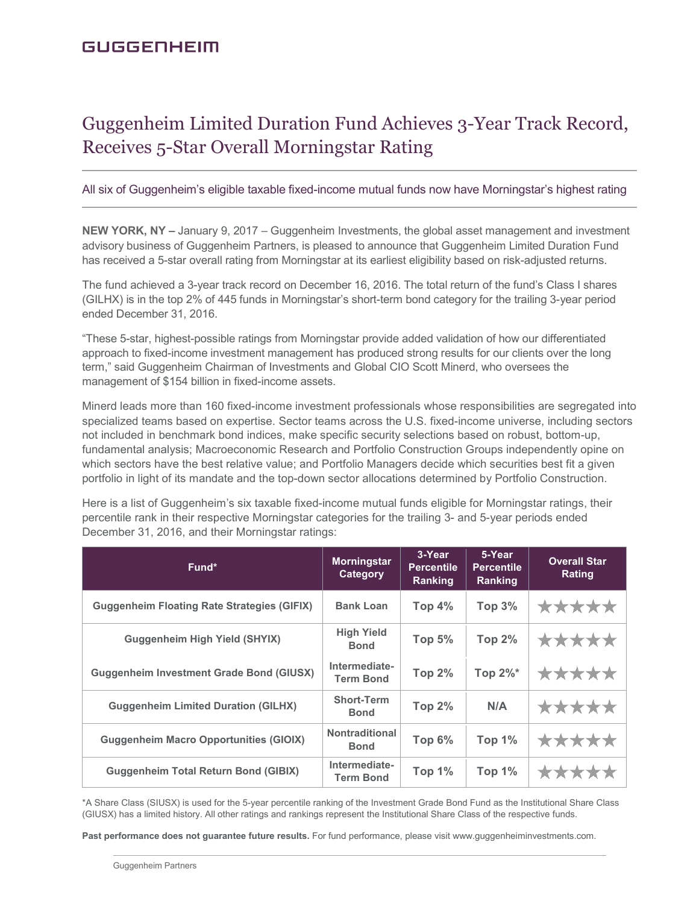# Guggenheim Limited Duration Fund Achieves 3-Year Track Record, Receives 5-Star Overall Morningstar Rating

All six of Guggenheim's eligible taxable fixed-income mutual funds now have Morningstar's highest rating

**NEW YORK, NY –** January 9, 2017 – Guggenheim Investments, the global asset management and investment advisory business of Guggenheim Partners, is pleased to announce that Guggenheim Limited Duration Fund has received a 5-star overall rating from Morningstar at its earliest eligibility based on risk-adjusted returns.

The fund achieved a 3-year track record on December 16, 2016. The total return of the fund's Class I shares (GILHX) is in the top 2% of 445 funds in Morningstar's short-term bond category for the trailing 3-year period ended December 31, 2016.

"These 5-star, highest-possible ratings from Morningstar provide added validation of how our differentiated approach to fixed-income investment management has produced strong results for our clients over the long term," said Guggenheim Chairman of Investments and Global CIO Scott Minerd, who oversees the management of \$154 billion in fixed-income assets.

Minerd leads more than 160 fixed-income investment professionals whose responsibilities are segregated into specialized teams based on expertise. Sector teams across the U.S. fixed-income universe, including sectors not included in benchmark bond indices, make specific security selections based on robust, bottom-up, fundamental analysis; Macroeconomic Research and Portfolio Construction Groups independently opine on which sectors have the best relative value; and Portfolio Managers decide which securities best fit a given portfolio in light of its mandate and the top-down sector allocations determined by Portfolio Construction.

Here is a list of Guggenheim's six taxable fixed-income mutual funds eligible for Morningstar ratings, their percentile rank in their respective Morningstar categories for the trailing 3- and 5-year periods ended December 31, 2016, and their Morningstar ratings:

| Fund*                                              | <b>Morningstar</b><br>Category       | 3-Year<br><b>Percentile</b><br>Ranking | 5-Year<br><b>Percentile</b><br>Ranking | <b>Overall Star</b><br>Rating |
|----------------------------------------------------|--------------------------------------|----------------------------------------|----------------------------------------|-------------------------------|
| <b>Guggenheim Floating Rate Strategies (GIFIX)</b> | <b>Bank Loan</b>                     | Top $4\%$                              | Top $3%$                               | *****                         |
| <b>Guggenheim High Yield (SHYIX)</b>               | <b>High Yield</b><br><b>Bond</b>     | <b>Top 5%</b>                          | <b>Top 2%</b>                          | *****                         |
| <b>Guggenheim Investment Grade Bond (GIUSX)</b>    | Intermediate-<br><b>Term Bond</b>    | <b>Top 2%</b>                          | Top $2\%^*$                            | *****                         |
| <b>Guggenheim Limited Duration (GILHX)</b>         | <b>Short-Term</b><br><b>Bond</b>     | <b>Top 2%</b>                          | N/A                                    | *****                         |
| <b>Guggenheim Macro Opportunities (GIOIX)</b>      | <b>Nontraditional</b><br><b>Bond</b> | Top $6\%$                              | <b>Top 1%</b>                          | *****                         |
| <b>Guggenheim Total Return Bond (GIBIX)</b>        | Intermediate-<br><b>Term Bond</b>    | Top $1%$                               | <b>Top 1%</b>                          | *****                         |

\*A Share Class (SIUSX) is used for the 5-year percentile ranking of the Investment Grade Bond Fund as the Institutional Share Class (GIUSX) has a limited history. All other ratings and rankings represent the Institutional Share Class of the respective funds.

**Past performance does not guarantee future results.** For fund performance, please visit www.guggenheiminvestments.com.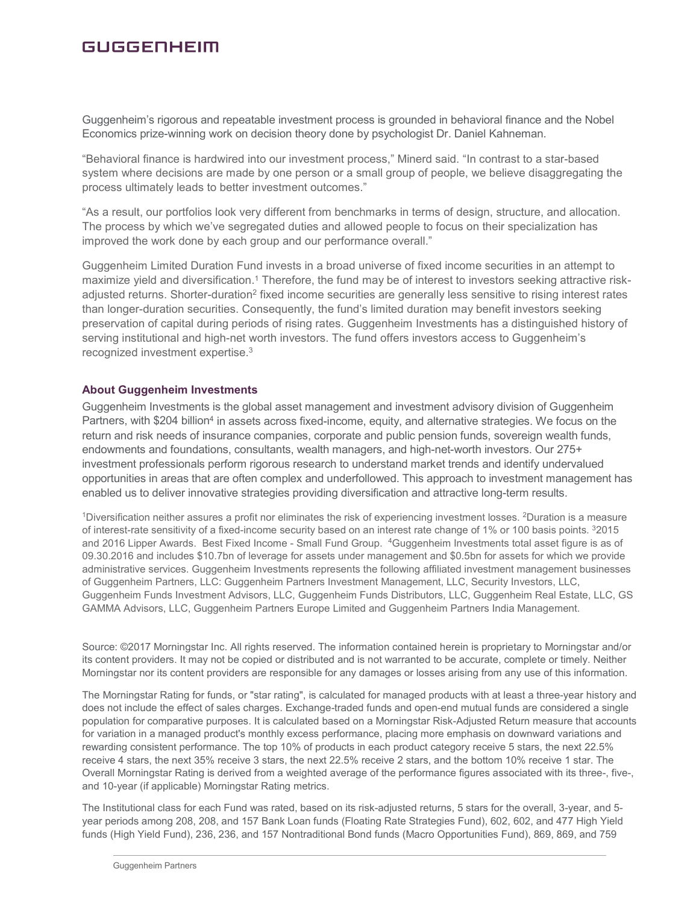## **GUGGENHEIM**

Guggenheim's rigorous and repeatable investment process is grounded in behavioral finance and the Nobel Economics prize-winning work on decision theory done by psychologist Dr. Daniel Kahneman.

"Behavioral finance is hardwired into our investment process," Minerd said. "In contrast to a star-based system where decisions are made by one person or a small group of people, we believe disaggregating the process ultimately leads to better investment outcomes."

"As a result, our portfolios look very different from benchmarks in terms of design, structure, and allocation. The process by which we've segregated duties and allowed people to focus on their specialization has improved the work done by each group and our performance overall."

Guggenheim Limited Duration Fund invests in a broad universe of fixed income securities in an attempt to maximize yield and diversification.<sup>1</sup> Therefore, the fund may be of interest to investors seeking attractive riskadjusted returns. Shorter-duration<sup>2</sup> fixed income securities are generally less sensitive to rising interest rates than longer-duration securities. Consequently, the fund's limited duration may benefit investors seeking preservation of capital during periods of rising rates. Guggenheim Investments has a distinguished history of serving institutional and high-net worth investors. The fund offers investors access to Guggenheim's recognized investment expertise.3

#### **About Guggenheim Investments**

Guggenheim Investments is the global asset management and investment advisory division of Guggenheim Partners, with \$204 billion<sup>4</sup> in assets across fixed-income, equity, and alternative strategies. We focus on the return and risk needs of insurance companies, corporate and public pension funds, sovereign wealth funds, endowments and foundations, consultants, wealth managers, and high-net-worth investors. Our 275+ investment professionals perform rigorous research to understand market trends and identify undervalued opportunities in areas that are often complex and underfollowed. This approach to investment management has enabled us to deliver innovative strategies providing diversification and attractive long-term results.

1Diversification neither assures a profit nor eliminates the risk of experiencing investment losses. 2Duration is a measure of interest-rate sensitivity of a fixed-income security based on an interest rate change of 1% or 100 basis points. 32015 and 2016 Lipper Awards. Best Fixed Income - Small Fund Group. 4Guggenheim Investments total asset figure is as of 09.30.2016 and includes \$10.7bn of leverage for assets under management and \$0.5bn for assets for which we provide administrative services. Guggenheim Investments represents the following affiliated investment management businesses of Guggenheim Partners, LLC: Guggenheim Partners Investment Management, LLC, Security Investors, LLC, Guggenheim Funds Investment Advisors, LLC, Guggenheim Funds Distributors, LLC, Guggenheim Real Estate, LLC, GS GAMMA Advisors, LLC, Guggenheim Partners Europe Limited and Guggenheim Partners India Management.

Source: ©2017 Morningstar Inc. All rights reserved. The information contained herein is proprietary to Morningstar and/or its content providers. It may not be copied or distributed and is not warranted to be accurate, complete or timely. Neither Morningstar nor its content providers are responsible for any damages or losses arising from any use of this information.

The Morningstar Rating for funds, or "star rating", is calculated for managed products with at least a three-year history and does not include the effect of sales charges. Exchange-traded funds and open-end mutual funds are considered a single population for comparative purposes. It is calculated based on a Morningstar Risk-Adjusted Return measure that accounts for variation in a managed product's monthly excess performance, placing more emphasis on downward variations and rewarding consistent performance. The top 10% of products in each product category receive 5 stars, the next 22.5% receive 4 stars, the next 35% receive 3 stars, the next 22.5% receive 2 stars, and the bottom 10% receive 1 star. The Overall Morningstar Rating is derived from a weighted average of the performance figures associated with its three-, five-, and 10-year (if applicable) Morningstar Rating metrics.

The Institutional class for each Fund was rated, based on its risk-adjusted returns, 5 stars for the overall, 3-year, and 5 year periods among 208, 208, and 157 Bank Loan funds (Floating Rate Strategies Fund), 602, 602, and 477 High Yield funds (High Yield Fund), 236, 236, and 157 Nontraditional Bond funds (Macro Opportunities Fund), 869, 869, and 759